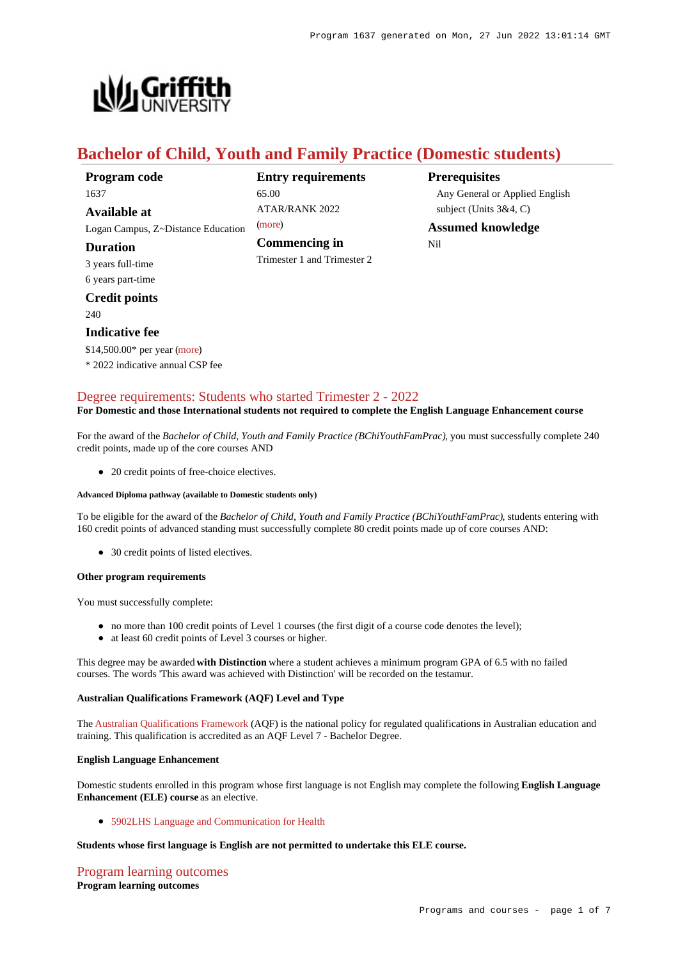

## **Bachelor of Child, Youth and Family Practice (Domestic students)**

| Program code                       | <b>Entry requirements</b>   |
|------------------------------------|-----------------------------|
| 1637                               | 65.00                       |
| Available at                       | ATAR/RANK 2022              |
| Logan Campus, Z~Distance Education | (more)                      |
| <b>Duration</b>                    | Commencing in               |
| 3 years full-time                  | Trimester 1 and Trimester 2 |
| 6 years part-time                  |                             |
| <b>Credit points</b>               |                             |
| 240                                |                             |
| <b>Indicative fee</b>              |                             |
| \$14,500.00* per year (more)       |                             |
| * 2022 indicative annual CSP fee   |                             |
|                                    |                             |

**Entry requirements**

**Prerequisites** Any General or Applied English subject (Units 3&4, C)

**Assumed knowledge** Nil

## [Degree requirements: Students who started Trimester 2 - 2022](https://www148.griffith.edu.au/programs-courses/Program/1637/Courses/Domestic#degree-requirements)

#### **For Domestic and those International students not required to complete the English Language Enhancement course**

For the award of the *Bachelor of Child, Youth and Family Practice (BChiYouthFamPrac)*, you must successfully complete 240 credit points, made up of the core courses AND

• 20 credit points of free-choice electives.

#### **Advanced Diploma pathway (available to Domestic students only)**

To be eligible for the award of the *Bachelor of Child, Youth and Family Practice (BChiYouthFamPrac)*, students entering with 160 credit points of advanced standing must successfully complete 80 credit points made up of core courses AND:

• 30 credit points of listed electives.

#### **Other program requirements**

You must successfully complete:

- no more than 100 credit points of Level 1 courses (the first digit of a course code denotes the level);
- at least 60 credit points of Level 3 courses or higher.

This degree may be awarded **with Distinction** where a student achieves a minimum program GPA of 6.5 with no failed courses. The words 'This award was achieved with Distinction' will be recorded on the testamur.

#### **Australian Qualifications Framework (AQF) Level and Type**

The [Australian Qualifications Framework](http://www.aqf.edu.au/) (AQF) is the national policy for regulated qualifications in Australian education and training. This qualification is accredited as an AQF Level 7 - Bachelor Degree.

#### **English Language Enhancement**

Domestic students enrolled in this program whose first language is not English may complete the following **English Language Enhancement (ELE) course** as an elective.

#### [5902LHS Language and Communication for Health](https://www148.griffith.edu.au/Course/5902LHS)

#### **Students whose first language is English are not permitted to undertake this ELE course.**

[Program learning outcomes](https://www148.griffith.edu.au/programs-courses/Program/1637/Courses/Domestic#programLearningOutcomes) **Program learning outcomes**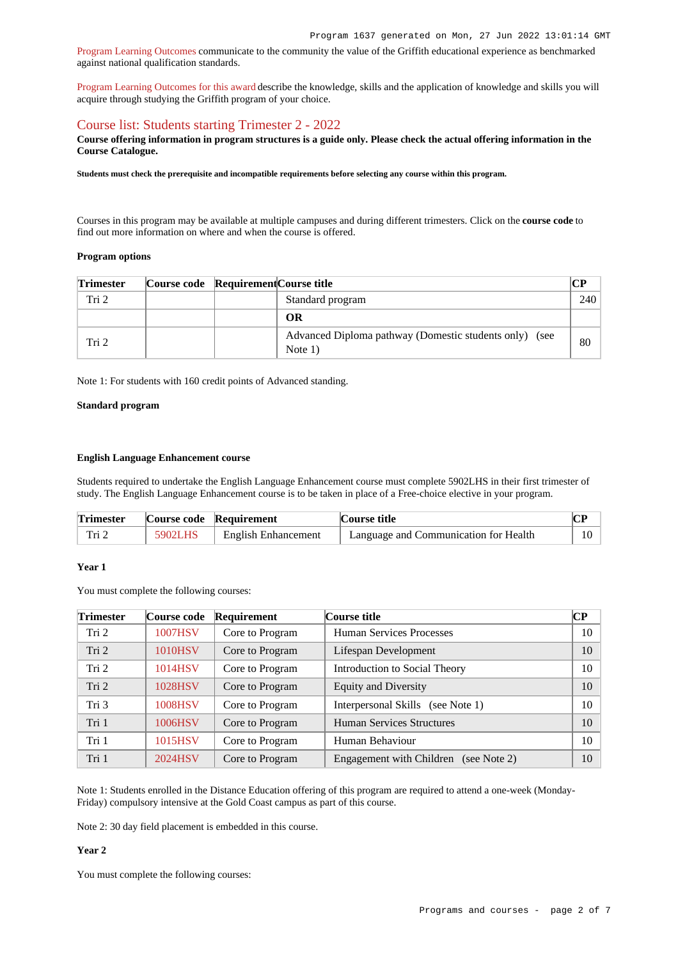[Program Learning Outcomes](https://www.griffith.edu.au/__data/assets/pdf_file/0017/134522/PLO-general-advice.pdf) communicate to the community the value of the Griffith educational experience as benchmarked against national qualification standards.

[Program Learning Outcomes for this award](https://www.griffith.edu.au/__data/assets/pdf_file/0039/997167/B-Child-Youth-and-Family-Practice-PLO-L7.pdf) describe the knowledge, skills and the application of knowledge and skills you will acquire through studying the Griffith program of your choice.

### [Course list: Students starting Trimester 2 - 2022](https://www148.griffith.edu.au/programs-courses/Program/1637/Courses/Domestic#course-list-content)

**Course offering information in program structures is a guide only. Please check the actual offering information in the Course Catalogue.**

**Students must check the prerequisite and incompatible requirements before selecting any course within this program.**

Courses in this program may be available at multiple campuses and during different trimesters. Click on the **course code** to find out more information on where and when the course is offered.

#### **Program options**

| <b>Trimester</b> | Course code Requirement Course title |                                                                     |     |
|------------------|--------------------------------------|---------------------------------------------------------------------|-----|
| Tri 2            |                                      | Standard program                                                    | 240 |
|                  |                                      | OR                                                                  |     |
| Tri 2            |                                      | Advanced Diploma pathway (Domestic students only) (see<br>Note $1)$ | 80  |

Note 1: For students with 160 credit points of Advanced standing.

#### **Standard program**

#### **English Language Enhancement course**

Students required to undertake the English Language Enhancement course must complete 5902LHS in their first trimester of study. The English Language Enhancement course is to be taken in place of a Free-choice elective in your program.

| <b>Trimester</b> |         | Course code Requirement    | Course title                          |  |
|------------------|---------|----------------------------|---------------------------------------|--|
| Tri∶             | 5902LHS | <b>English Enhancement</b> | Language and Communication for Health |  |

### **Year 1**

You must complete the following courses:

| <b>Trimester</b> | Course code    | Requirement     | Course title                             | CР |
|------------------|----------------|-----------------|------------------------------------------|----|
| Tri 2            | 1007HSV        | Core to Program | <b>Human Services Processes</b>          | 10 |
| Tri <sub>2</sub> | <b>1010HSV</b> | Core to Program | Lifespan Development                     | 10 |
| Tri 2            | 1014HSV        | Core to Program | Introduction to Social Theory            | 10 |
| Tri 2            | 1028HSV        | Core to Program | <b>Equity and Diversity</b>              | 10 |
| Tri 3            | 1008HSV        | Core to Program | Interpersonal Skills (see Note 1)        | 10 |
| Tri 1            | 1006HSV        | Core to Program | <b>Human Services Structures</b>         | 10 |
| Tri 1            | 1015HSV        | Core to Program | Human Behaviour                          | 10 |
| Tri 1            | 2024HSV        | Core to Program | Engagement with Children<br>(see Note 2) | 10 |

Note 1: Students enrolled in the Distance Education offering of this program are required to attend a one-week (Monday-Friday) compulsory intensive at the Gold Coast campus as part of this course.

Note 2: 30 day field placement is embedded in this course.

#### **Year 2**

You must complete the following courses: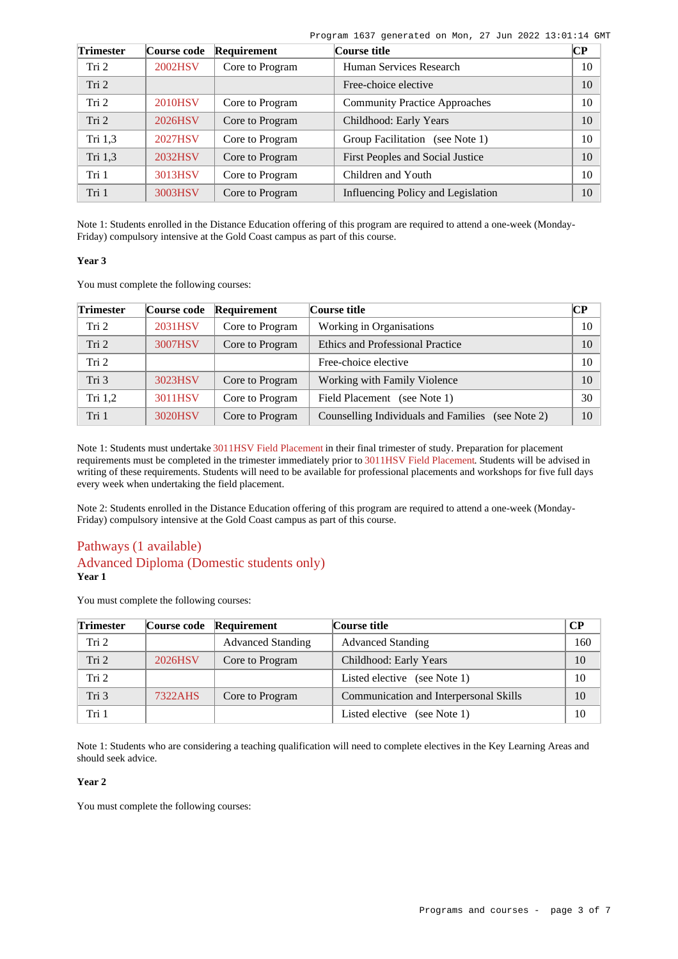| Program 1637 generated on Mon, 27 Jun 2022 13:01:14 GMT |  |  |  |  |
|---------------------------------------------------------|--|--|--|--|
|                                                         |  |  |  |  |

| <b>Trimester</b> | Course code    | Requirement     | Course title                         | CР |
|------------------|----------------|-----------------|--------------------------------------|----|
| Tri <sub>2</sub> | 2002HSV        | Core to Program | Human Services Research              | 10 |
| Tri 2            |                |                 | Free-choice elective                 | 10 |
| Tri <sub>2</sub> | <b>2010HSV</b> | Core to Program | <b>Community Practice Approaches</b> | 10 |
| Tri 2            | 2026HSV        | Core to Program | Childhood: Early Years               | 10 |
| Tri 1,3          | 2027HSV        | Core to Program | Group Facilitation (see Note 1)      | 10 |
| Tri 1,3          | 2032HSV        | Core to Program | First Peoples and Social Justice     | 10 |
| Tri 1            | 3013HSV        | Core to Program | Children and Youth                   | 10 |
| Tri 1            | 3003HSV        | Core to Program | Influencing Policy and Legislation   | 10 |

Note 1: Students enrolled in the Distance Education offering of this program are required to attend a one-week (Monday-Friday) compulsory intensive at the Gold Coast campus as part of this course.

#### **Year 3**

You must complete the following courses:

| <b>Trimester</b> | Course code | Requirement     | Course title                                      | $\overline{\mathbf{C}}$ |
|------------------|-------------|-----------------|---------------------------------------------------|-------------------------|
| Tri 2            | 2031HSV     | Core to Program | Working in Organisations                          | 10                      |
| Tri 2            | 3007HSV     | Core to Program | <b>Ethics and Professional Practice</b>           | 10                      |
| Tri <sub>2</sub> |             |                 | Free-choice elective                              | 10                      |
| Tri 3            | 3023HSV     | Core to Program | Working with Family Violence                      | 10                      |
| Tri $1,2$        | 3011HSV     | Core to Program | Field Placement (see Note 1)                      | 30                      |
| Tri 1            | 3020HSV     | Core to Program | Counselling Individuals and Families (see Note 2) | 10                      |

Note 1: Students must undertake [3011HSV Field Placement](https://www148.griffith.edu.au/Course/3011HSV) in their final trimester of study. Preparation for placement requirements must be completed in the trimester immediately prior to [3011HSV Field Placement](https://www148.griffith.edu.au/Course/3011HSV). Students will be advised in writing of these requirements. Students will need to be available for professional placements and workshops for five full days every week when undertaking the field placement.

Note 2: Students enrolled in the Distance Education offering of this program are required to attend a one-week (Monday-Friday) compulsory intensive at the Gold Coast campus as part of this course.

## Pathways (1 available) Advanced Diploma (Domestic students only) **Year 1**

You must complete the following courses:

| <b>Trimester</b> |         | Course code Requirement  | Course title                           | <b>CP</b> |
|------------------|---------|--------------------------|----------------------------------------|-----------|
| Tri 2            |         | <b>Advanced Standing</b> | <b>Advanced Standing</b>               | 160       |
| Tri 2            | 2026HSV | Core to Program          | Childhood: Early Years                 | 10        |
| Tri 2            |         |                          | Listed elective (see Note 1)           | 10        |
| Tri 3            | 7322AHS | Core to Program          | Communication and Interpersonal Skills | 10        |
| Tri 1            |         |                          | Listed elective (see Note 1)           | 10        |

Note 1: Students who are considering a teaching qualification will need to complete electives in the Key Learning Areas and should seek advice.

#### **Year 2**

You must complete the following courses: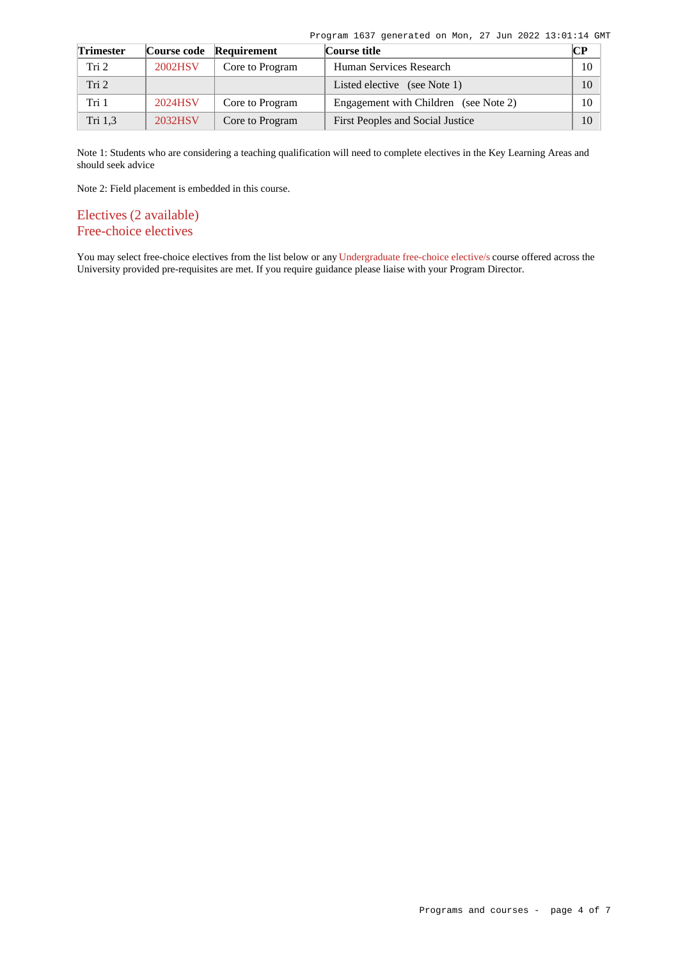Program 1637 generated on Mon, 27 Jun 2022 13:01:14 GMT

| <b>Trimester</b> |         | Course code Requirement | Course title                          | <b>CP</b> |
|------------------|---------|-------------------------|---------------------------------------|-----------|
| Tri 2            | 2002HSV | Core to Program         | Human Services Research               | 10        |
| Tri <sub>2</sub> |         |                         | Listed elective (see Note 1)          | 10        |
| Tri 1            | 2024HSV | Core to Program         | Engagement with Children (see Note 2) | 10        |
| Tri 1,3          | 2032HSV | Core to Program         | First Peoples and Social Justice      | 10        |

Note 1: Students who are considering a teaching qualification will need to complete electives in the Key Learning Areas and should seek advice

Note 2: Field placement is embedded in this course.

Electives (2 available) Free-choice electives

You may select free-choice electives from the list below or any [Undergraduate free-choice elective/s](https://www148.griffith.edu.au/programs-courses/Search/Results?SearchRequestType=CourseCatalogue&AcademicCareerName=UGRD&IsFreeChoiceElective=True) course offered across the University provided pre-requisites are met. If you require guidance please liaise with your Program Director.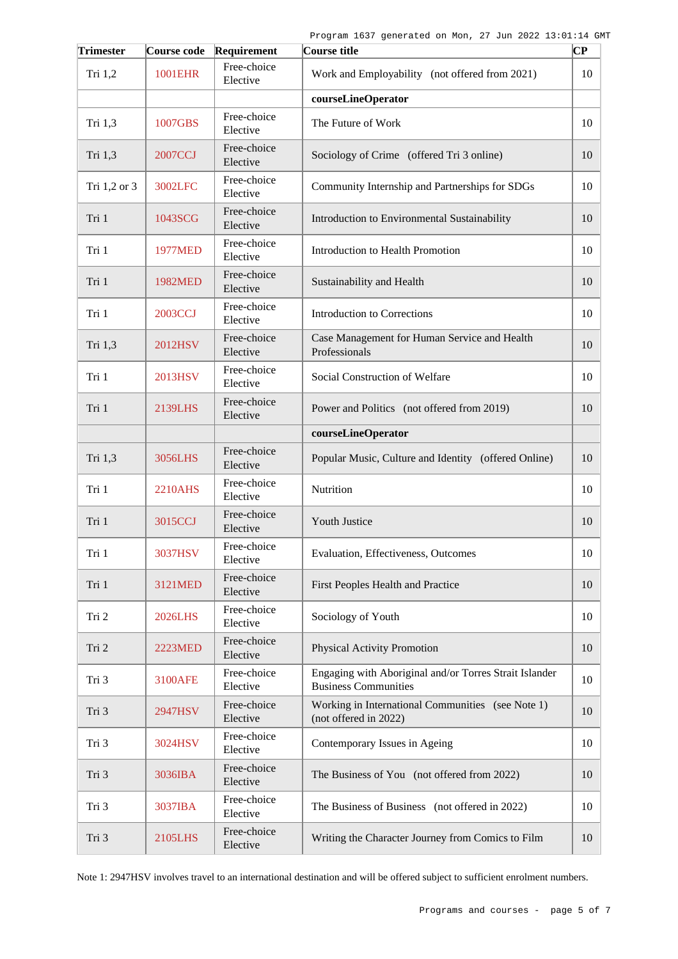| <b>Trimester</b> |                | Course code Requirement | Course title                                                                          | CР |
|------------------|----------------|-------------------------|---------------------------------------------------------------------------------------|----|
| Tri 1,2          | 1001EHR        | Free-choice<br>Elective | Work and Employability (not offered from 2021)                                        | 10 |
|                  |                |                         | courseLineOperator                                                                    |    |
| Tri 1,3          | 1007GBS        | Free-choice<br>Elective | The Future of Work                                                                    | 10 |
| Tri 1,3          | 2007CCJ        | Free-choice<br>Elective | Sociology of Crime (offered Tri 3 online)                                             | 10 |
| Tri 1,2 or 3     | 3002LFC        | Free-choice<br>Elective | Community Internship and Partnerships for SDGs                                        | 10 |
| Tri 1            | 1043SCG        | Free-choice<br>Elective | Introduction to Environmental Sustainability                                          | 10 |
| Tri 1            | <b>1977MED</b> | Free-choice<br>Elective | Introduction to Health Promotion                                                      | 10 |
| Tri 1            | 1982MED        | Free-choice<br>Elective | Sustainability and Health                                                             | 10 |
| Tri 1            | 2003CCJ        | Free-choice<br>Elective | <b>Introduction to Corrections</b>                                                    | 10 |
| Tri 1,3          | 2012HSV        | Free-choice<br>Elective | Case Management for Human Service and Health<br>Professionals                         | 10 |
| Tri 1            | 2013HSV        | Free-choice<br>Elective | Social Construction of Welfare                                                        | 10 |
| Tri 1            | 2139LHS        | Free-choice<br>Elective | Power and Politics (not offered from 2019)                                            | 10 |
|                  |                |                         | courseLineOperator                                                                    |    |
| Tri 1,3          | 3056LHS        | Free-choice<br>Elective | Popular Music, Culture and Identity (offered Online)                                  | 10 |
| Tri 1            | 2210AHS        | Free-choice<br>Elective | Nutrition                                                                             | 10 |
| Tri 1            | 3015CCJ        | Free-choice<br>Elective | Youth Justice                                                                         | 10 |
| Tri 1            | 3037HSV        | Free-choice<br>Elective | Evaluation, Effectiveness, Outcomes                                                   | 10 |
| Tri 1            | 3121MED        | Free-choice<br>Elective | First Peoples Health and Practice                                                     | 10 |
| Tri 2            | <b>2026LHS</b> | Free-choice<br>Elective | Sociology of Youth                                                                    | 10 |
| Tri 2            | <b>2223MED</b> | Free-choice<br>Elective | <b>Physical Activity Promotion</b>                                                    | 10 |
| Tri 3            | 3100AFE        | Free-choice<br>Elective | Engaging with Aboriginal and/or Torres Strait Islander<br><b>Business Communities</b> | 10 |
| Tri 3            | 2947HSV        | Free-choice<br>Elective | Working in International Communities (see Note 1)<br>(not offered in 2022)            | 10 |
| Tri 3            | 3024HSV        | Free-choice<br>Elective | Contemporary Issues in Ageing                                                         | 10 |
| Tri 3            | 3036IBA        | Free-choice<br>Elective | The Business of You (not offered from 2022)                                           | 10 |
| Tri 3            | 3037IBA        | Free-choice<br>Elective | The Business of Business (not offered in 2022)                                        | 10 |
| Tri 3            | 2105LHS        | Free-choice<br>Elective | Writing the Character Journey from Comics to Film                                     | 10 |

Note 1: 2947HSV involves travel to an international destination and will be offered subject to sufficient enrolment numbers.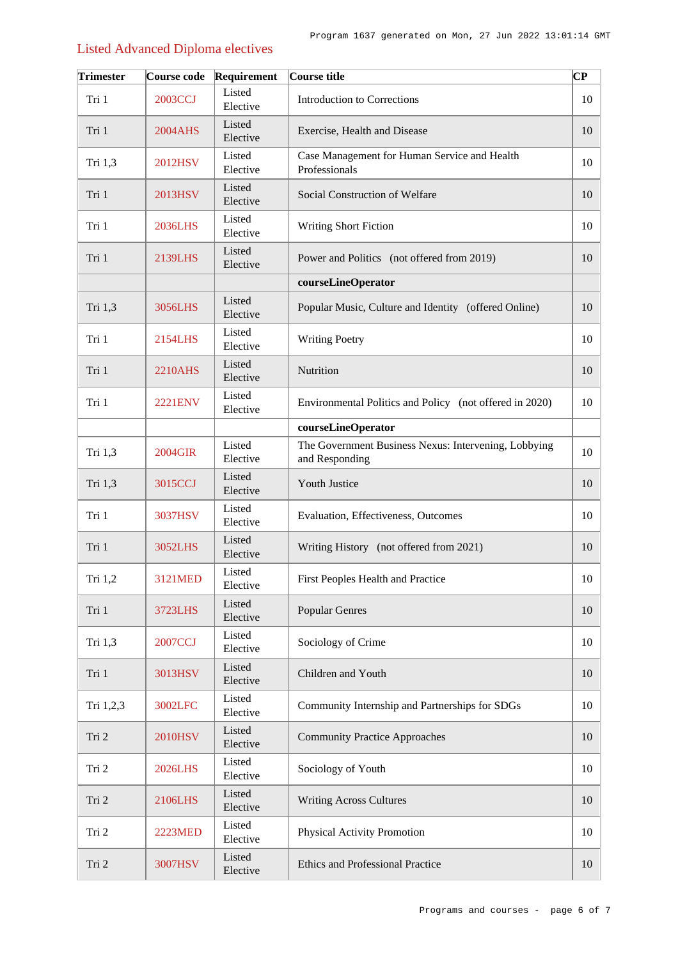# Listed Advanced Diploma electives

| <b>Trimester</b> | Course code    | Requirement        | Course title                                                           | СP |
|------------------|----------------|--------------------|------------------------------------------------------------------------|----|
| Tri 1            | 2003CCJ        | Listed<br>Elective | Introduction to Corrections                                            | 10 |
| Tri 1            | 2004AHS        | Listed<br>Elective | Exercise, Health and Disease                                           | 10 |
| Tri 1,3          | 2012HSV        | Listed<br>Elective | Case Management for Human Service and Health<br>Professionals          | 10 |
| Tri 1            | 2013HSV        | Listed<br>Elective | Social Construction of Welfare                                         | 10 |
| Tri 1            | <b>2036LHS</b> | Listed<br>Elective | <b>Writing Short Fiction</b>                                           | 10 |
| Tri 1            | 2139LHS        | Listed<br>Elective | Power and Politics (not offered from 2019)                             | 10 |
|                  |                |                    | courseLineOperator                                                     |    |
| Tri 1,3          | 3056LHS        | Listed<br>Elective | Popular Music, Culture and Identity (offered Online)                   | 10 |
| Tri 1            | 2154LHS        | Listed<br>Elective | <b>Writing Poetry</b>                                                  | 10 |
| Tri 1            | 2210AHS        | Listed<br>Elective | Nutrition                                                              | 10 |
| Tri 1            | <b>2221ENV</b> | Listed<br>Elective | Environmental Politics and Policy (not offered in 2020)                | 10 |
|                  |                |                    | courseLineOperator                                                     |    |
| Tri 1,3          | 2004GIR        | Listed<br>Elective | The Government Business Nexus: Intervening, Lobbying<br>and Responding | 10 |
| Tri 1,3          | 3015CCJ        | Listed<br>Elective | Youth Justice                                                          | 10 |
| Tri 1            | 3037HSV        | Listed<br>Elective | Evaluation, Effectiveness, Outcomes                                    | 10 |
| Tri 1            | 3052LHS        | Listed<br>Elective | Writing History (not offered from 2021)                                | 10 |
| Tri 1,2          | 3121MED        | Listed<br>Elective | First Peoples Health and Practice                                      | 10 |
| Tri 1            | 3723LHS        | Listed<br>Elective | Popular Genres                                                         | 10 |
| Tri 1,3          | 2007CCJ        | Listed<br>Elective | Sociology of Crime                                                     | 10 |
| Tri 1            | 3013HSV        | Listed<br>Elective | Children and Youth                                                     | 10 |
| Tri 1,2,3        | 3002LFC        | Listed<br>Elective | Community Internship and Partnerships for SDGs                         | 10 |
| Tri 2            | 2010HSV        | Listed<br>Elective | <b>Community Practice Approaches</b>                                   | 10 |
| Tri 2            | <b>2026LHS</b> | Listed<br>Elective | Sociology of Youth                                                     | 10 |
| Tri 2            | 2106LHS        | Listed<br>Elective | <b>Writing Across Cultures</b>                                         | 10 |
| Tri 2            | <b>2223MED</b> | Listed<br>Elective | Physical Activity Promotion                                            | 10 |
| Tri 2            | 3007HSV        | Listed<br>Elective | Ethics and Professional Practice                                       | 10 |